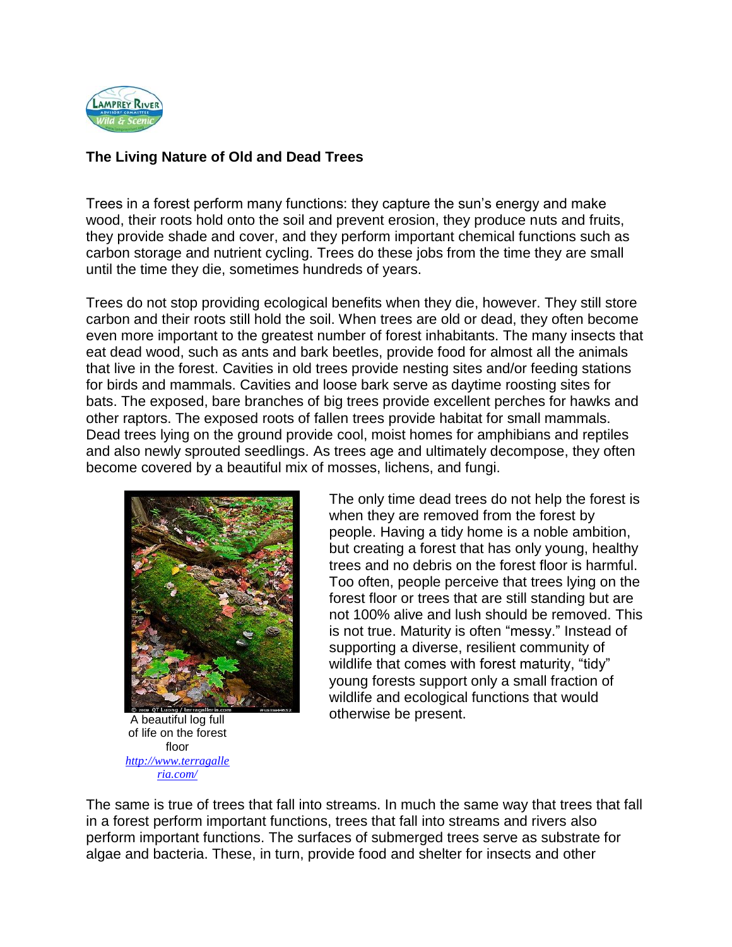

## **The Living Nature of Old and Dead Trees**

Trees in a forest perform many functions: they capture the sun's energy and make wood, their roots hold onto the soil and prevent erosion, they produce nuts and fruits, they provide shade and cover, and they perform important chemical functions such as carbon storage and nutrient cycling. Trees do these jobs from the time they are small until the time they die, sometimes hundreds of years.

Trees do not stop providing ecological benefits when they die, however. They still store carbon and their roots still hold the soil. When trees are old or dead, they often become even more important to the greatest number of forest inhabitants. The many insects that eat dead wood, such as ants and bark beetles, provide food for almost all the animals that live in the forest. Cavities in old trees provide nesting sites and/or feeding stations for birds and mammals. Cavities and loose bark serve as daytime roosting sites for bats. The exposed, bare branches of big trees provide excellent perches for hawks and other raptors. The exposed roots of fallen trees provide habitat for small mammals. Dead trees lying on the ground provide cool, moist homes for amphibians and reptiles and also newly sprouted seedlings. As trees age and ultimately decompose, they often become covered by a beautiful mix of mosses, lichens, and fungi.



A beautiful log full of life on the forest floor *[http://www.terragalle](http://www.terragalleria.com/) [ria.com/](http://www.terragalleria.com/)*

The only time dead trees do not help the forest is when they are removed from the forest by people. Having a tidy home is a noble ambition, but creating a forest that has only young, healthy trees and no debris on the forest floor is harmful. Too often, people perceive that trees lying on the forest floor or trees that are still standing but are not 100% alive and lush should be removed. This is not true. Maturity is often "messy." Instead of supporting a diverse, resilient community of wildlife that comes with forest maturity, "tidy" young forests support only a small fraction of wildlife and ecological functions that would otherwise be present.

The same is true of trees that fall into streams. In much the same way that trees that fall in a forest perform important functions, trees that fall into streams and rivers also perform important functions. The surfaces of submerged trees serve as substrate for algae and bacteria. These, in turn, provide food and shelter for insects and other